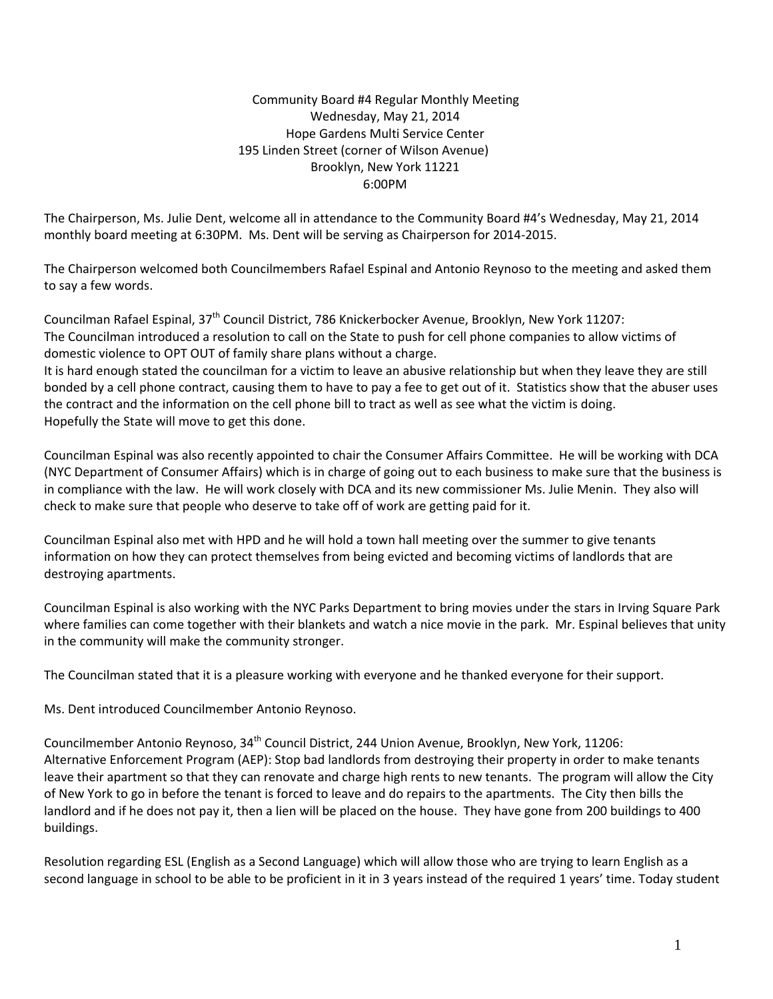## Community Board #4 Regular Monthly Meeting Wednesday, May 21, 2014 Hope Gardens Multi Service Center 195 Linden Street (corner of Wilson Avenue) Brooklyn, New York 11221 6:00PM

The Chairperson, Ms. Julie Dent, welcome all in attendance to the Community Board #4's Wednesday, May 21, 2014 monthly board meeting at 6:30PM. Ms. Dent will be serving as Chairperson for 2014‐2015.

The Chairperson welcomed both Councilmembers Rafael Espinal and Antonio Reynoso to the meeting and asked them to say a few words.

Councilman Rafael Espinal, 37th Council District, 786 Knickerbocker Avenue, Brooklyn, New York 11207: The Councilman introduced a resolution to call on the State to push for cell phone companies to allow victims of domestic violence to OPT OUT of family share plans without a charge.

It is hard enough stated the councilman for a victim to leave an abusive relationship but when they leave they are still bonded by a cell phone contract, causing them to have to pay a fee to get out of it. Statistics show that the abuser uses the contract and the information on the cell phone bill to tract as well as see what the victim is doing. Hopefully the State will move to get this done.

Councilman Espinal was also recently appointed to chair the Consumer Affairs Committee. He will be working with DCA (NYC Department of Consumer Affairs) which is in charge of going out to each business to make sure that the business is in compliance with the law. He will work closely with DCA and its new commissioner Ms. Julie Menin. They also will check to make sure that people who deserve to take off of work are getting paid for it.

Councilman Espinal also met with HPD and he will hold a town hall meeting over the summer to give tenants information on how they can protect themselves from being evicted and becoming victims of landlords that are destroying apartments.

Councilman Espinal is also working with the NYC Parks Department to bring movies under the stars in Irving Square Park where families can come together with their blankets and watch a nice movie in the park. Mr. Espinal believes that unity in the community will make the community stronger.

The Councilman stated that it is a pleasure working with everyone and he thanked everyone for their support.

Ms. Dent introduced Councilmember Antonio Reynoso.

Councilmember Antonio Reynoso, 34<sup>th</sup> Council District, 244 Union Avenue, Brooklyn, New York, 11206: Alternative Enforcement Program (AEP): Stop bad landlords from destroying their property in order to make tenants leave their apartment so that they can renovate and charge high rents to new tenants. The program will allow the City of New York to go in before the tenant is forced to leave and do repairs to the apartments. The City then bills the landlord and if he does not pay it, then a lien will be placed on the house. They have gone from 200 buildings to 400 buildings.

Resolution regarding ESL (English as a Second Language) which will allow those who are trying to learn English as a second language in school to be able to be proficient in it in 3 years instead of the required 1 years' time. Today student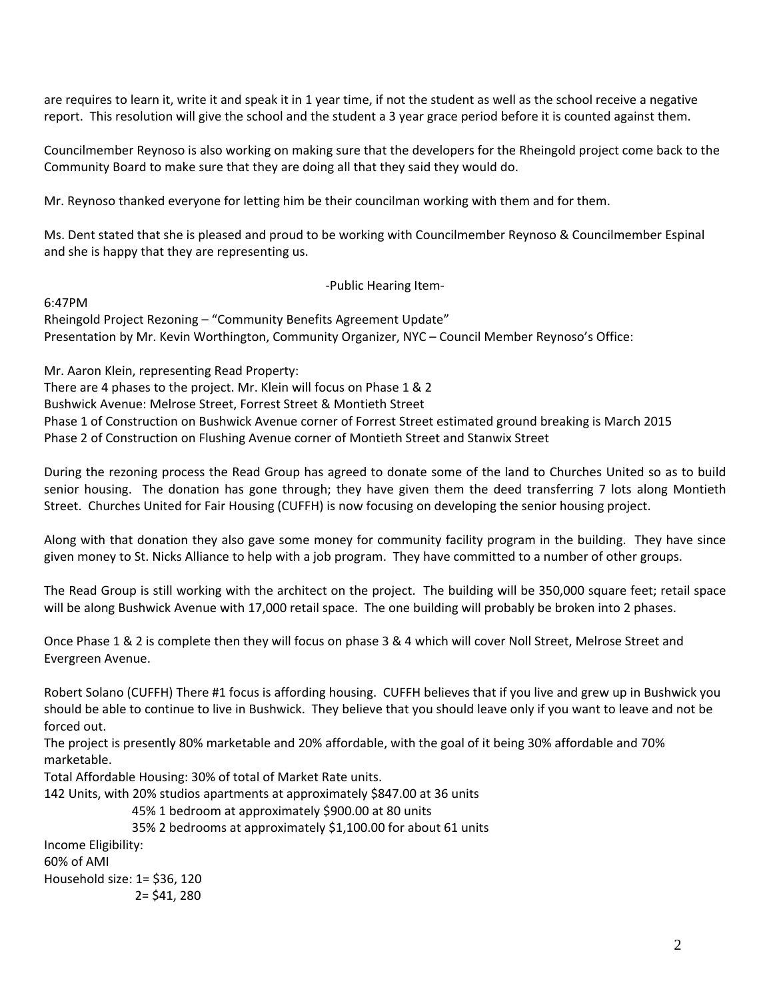are requires to learn it, write it and speak it in 1 year time, if not the student as well as the school receive a negative report. This resolution will give the school and the student a 3 year grace period before it is counted against them.

Councilmember Reynoso is also working on making sure that the developers for the Rheingold project come back to the Community Board to make sure that they are doing all that they said they would do.

Mr. Reynoso thanked everyone for letting him be their councilman working with them and for them.

Ms. Dent stated that she is pleased and proud to be working with Councilmember Reynoso & Councilmember Espinal and she is happy that they are representing us.

‐Public Hearing Item‐

6:47PM

Rheingold Project Rezoning – "Community Benefits Agreement Update" Presentation by Mr. Kevin Worthington, Community Organizer, NYC – Council Member Reynoso's Office:

Mr. Aaron Klein, representing Read Property: There are 4 phases to the project. Mr. Klein will focus on Phase 1 & 2 Bushwick Avenue: Melrose Street, Forrest Street & Montieth Street Phase 1 of Construction on Bushwick Avenue corner of Forrest Street estimated ground breaking is March 2015 Phase 2 of Construction on Flushing Avenue corner of Montieth Street and Stanwix Street

During the rezoning process the Read Group has agreed to donate some of the land to Churches United so as to build senior housing. The donation has gone through; they have given them the deed transferring 7 lots along Montieth Street. Churches United for Fair Housing (CUFFH) is now focusing on developing the senior housing project.

Along with that donation they also gave some money for community facility program in the building. They have since given money to St. Nicks Alliance to help with a job program. They have committed to a number of other groups.

The Read Group is still working with the architect on the project. The building will be 350,000 square feet; retail space will be along Bushwick Avenue with 17,000 retail space. The one building will probably be broken into 2 phases.

Once Phase 1 & 2 is complete then they will focus on phase 3 & 4 which will cover Noll Street, Melrose Street and Evergreen Avenue.

Robert Solano (CUFFH) There #1 focus is affording housing. CUFFH believes that if you live and grew up in Bushwick you should be able to continue to live in Bushwick. They believe that you should leave only if you want to leave and not be forced out.

The project is presently 80% marketable and 20% affordable, with the goal of it being 30% affordable and 70% marketable.

Total Affordable Housing: 30% of total of Market Rate units.

142 Units, with 20% studios apartments at approximately \$847.00 at 36 units

45% 1 bedroom at approximately \$900.00 at 80 units

35% 2 bedrooms at approximately \$1,100.00 for about 61 units

Income Eligibility: 60% of AMI Household size: 1= \$36, 120 2= \$41, 280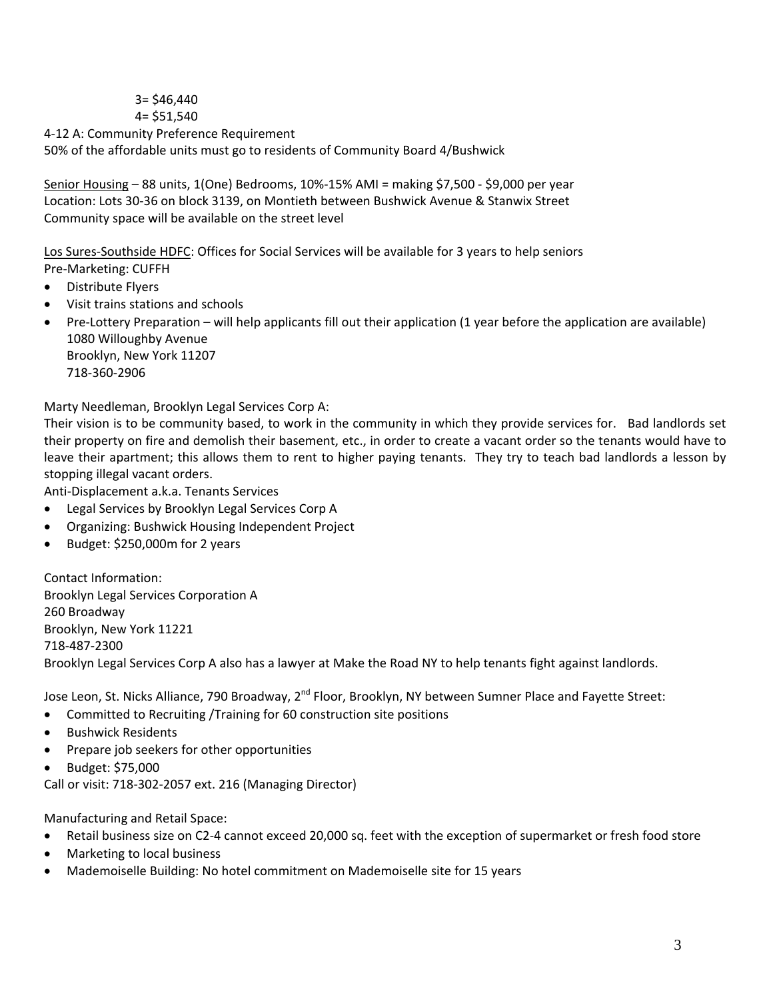# 3= \$46,440 4= \$51,540

4‐12 A: Community Preference Requirement 50% of the affordable units must go to residents of Community Board 4/Bushwick

Senior Housing – 88 units, 1(One) Bedrooms, 10%‐15% AMI = making \$7,500 ‐ \$9,000 per year Location: Lots 30‐36 on block 3139, on Montieth between Bushwick Avenue & Stanwix Street Community space will be available on the street level

Los Sures‐Southside HDFC: Offices for Social Services will be available for 3 years to help seniors

- Pre‐Marketing: CUFFH
- Distribute Flyers
- Visit trains stations and schools
- Pre-Lottery Preparation will help applicants fill out their application (1 year before the application are available) 1080 Willoughby Avenue Brooklyn, New York 11207

718‐360‐2906

Marty Needleman, Brooklyn Legal Services Corp A:

Their vision is to be community based, to work in the community in which they provide services for. Bad landlords set their property on fire and demolish their basement, etc., in order to create a vacant order so the tenants would have to leave their apartment; this allows them to rent to higher paying tenants. They try to teach bad landlords a lesson by stopping illegal vacant orders.

Anti‐Displacement a.k.a. Tenants Services

- Legal Services by Brooklyn Legal Services Corp A
- Organizing: Bushwick Housing Independent Project
- Budget: \$250,000m for 2 years

Contact Information: Brooklyn Legal Services Corporation A 260 Broadway Brooklyn, New York 11221 718‐487‐2300 Brooklyn Legal Services Corp A also has a lawyer at Make the Road NY to help tenants fight against landlords.

Jose Leon, St. Nicks Alliance, 790 Broadway, 2<sup>nd</sup> Floor, Brooklyn, NY between Sumner Place and Fayette Street:

- Committed to Recruiting /Training for 60 construction site positions
- Bushwick Residents
- Prepare job seekers for other opportunities
- Budget: \$75,000

Call or visit: 718‐302‐2057 ext. 216 (Managing Director)

Manufacturing and Retail Space:

- Retail business size on C2-4 cannot exceed 20,000 sq. feet with the exception of supermarket or fresh food store
- Marketing to local business
- Mademoiselle Building: No hotel commitment on Mademoiselle site for 15 years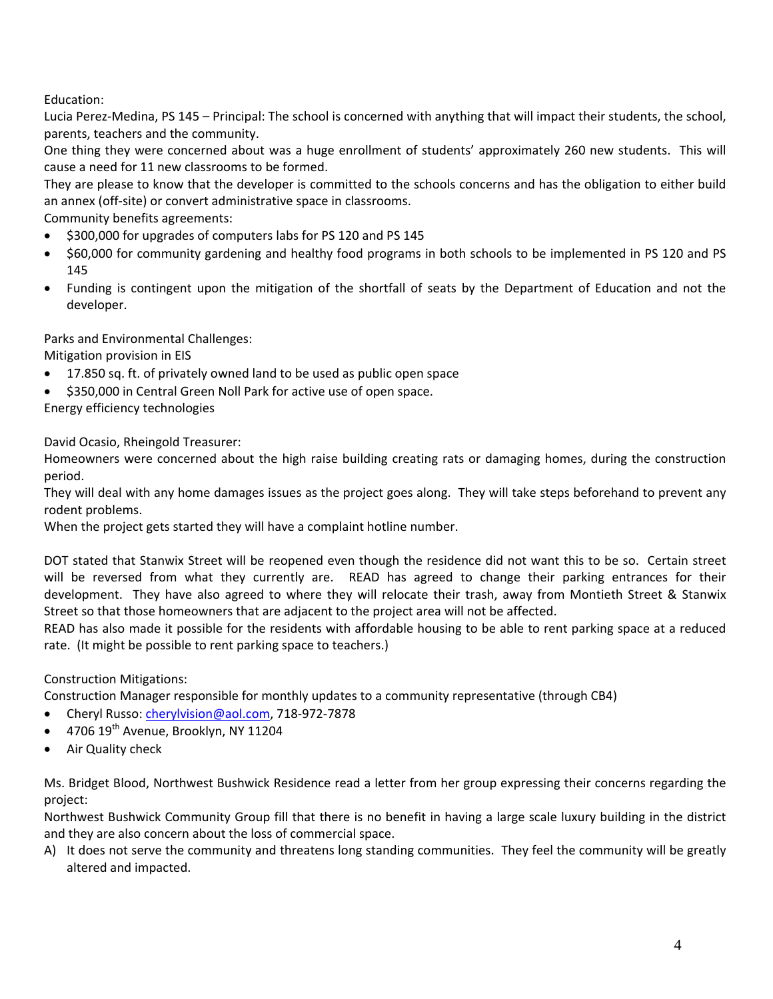Education:

Lucia Perez-Medina, PS 145 – Principal: The school is concerned with anything that will impact their students, the school, parents, teachers and the community.

One thing they were concerned about was a huge enrollment of students' approximately 260 new students. This will cause a need for 11 new classrooms to be formed.

They are please to know that the developer is committed to the schools concerns and has the obligation to either build an annex (off‐site) or convert administrative space in classrooms.

Community benefits agreements:

- $\bullet$  \$300,000 for upgrades of computers labs for PS 120 and PS 145
- \$60,000 for community gardening and healthy food programs in both schools to be implemented in PS 120 and PS 145
- Funding is contingent upon the mitigation of the shortfall of seats by the Department of Education and not the developer.

Parks and Environmental Challenges:

Mitigation provision in EIS

- 17.850 sq. ft. of privately owned land to be used as public open space
- \$350,000 in Central Green Noll Park for active use of open space.

Energy efficiency technologies

David Ocasio, Rheingold Treasurer:

Homeowners were concerned about the high raise building creating rats or damaging homes, during the construction period.

They will deal with any home damages issues as the project goes along. They will take steps beforehand to prevent any rodent problems.

When the project gets started they will have a complaint hotline number.

DOT stated that Stanwix Street will be reopened even though the residence did not want this to be so. Certain street will be reversed from what they currently are. READ has agreed to change their parking entrances for their development. They have also agreed to where they will relocate their trash, away from Montieth Street & Stanwix Street so that those homeowners that are adjacent to the project area will not be affected.

READ has also made it possible for the residents with affordable housing to be able to rent parking space at a reduced rate. (It might be possible to rent parking space to teachers.)

Construction Mitigations:

Construction Manager responsible for monthly updates to a community representative (through CB4)

- Cheryl Russo: cherylvision@aol.com, 718‐972‐7878
- $\bullet$  4706 19<sup>th</sup> Avenue, Brooklyn, NY 11204
- Air Quality check

Ms. Bridget Blood, Northwest Bushwick Residence read a letter from her group expressing their concerns regarding the project:

Northwest Bushwick Community Group fill that there is no benefit in having a large scale luxury building in the district and they are also concern about the loss of commercial space.

A) It does not serve the community and threatens long standing communities. They feel the community will be greatly altered and impacted.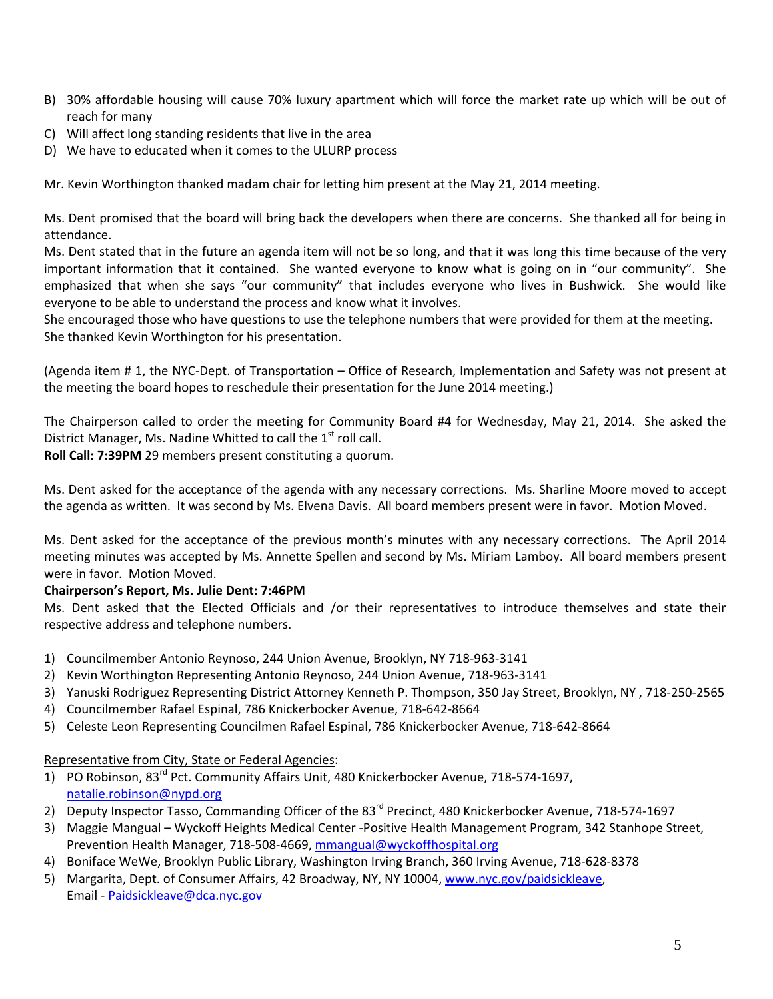- B) 30% affordable housing will cause 70% luxury apartment which will force the market rate up which will be out of reach for many
- C) Will affect long standing residents that live in the area
- D) We have to educated when it comes to the ULURP process

Mr. Kevin Worthington thanked madam chair for letting him present at the May 21, 2014 meeting.

Ms. Dent promised that the board will bring back the developers when there are concerns. She thanked all for being in attendance.

Ms. Dent stated that in the future an agenda item will not be so long, and that it was long this time because of the very important information that it contained. She wanted everyone to know what is going on in "our community". She emphasized that when she says "our community" that includes everyone who lives in Bushwick. She would like everyone to be able to understand the process and know what it involves.

She encouraged those who have questions to use the telephone numbers that were provided for them at the meeting. She thanked Kevin Worthington for his presentation.

(Agenda item # 1, the NYC‐Dept. of Transportation – Office of Research, Implementation and Safety was not present at the meeting the board hopes to reschedule their presentation for the June 2014 meeting.)

The Chairperson called to order the meeting for Community Board #4 for Wednesday, May 21, 2014. She asked the District Manager, Ms. Nadine Whitted to call the  $1<sup>st</sup>$  roll call.

**Roll Call: 7:39PM** 29 members present constituting a quorum.

Ms. Dent asked for the acceptance of the agenda with any necessary corrections. Ms. Sharline Moore moved to accept the agenda as written. It was second by Ms. Elvena Davis. All board members present were in favor. Motion Moved.

Ms. Dent asked for the acceptance of the previous month's minutes with any necessary corrections. The April 2014 meeting minutes was accepted by Ms. Annette Spellen and second by Ms. Miriam Lamboy. All board members present were in favor. Motion Moved.

## **Chairperson's Report, Ms. Julie Dent: 7:46PM**

Ms. Dent asked that the Elected Officials and /or their representatives to introduce themselves and state their respective address and telephone numbers.

- 1) Councilmember Antonio Reynoso, 244 Union Avenue, Brooklyn, NY 718‐963‐3141
- 2) Kevin Worthington Representing Antonio Reynoso, 244 Union Avenue, 718‐963‐3141
- 3) Yanuski Rodriguez Representing District Attorney Kenneth P. Thompson, 350 Jay Street, Brooklyn, NY , 718‐250‐2565
- 4) Councilmember Rafael Espinal, 786 Knickerbocker Avenue, 718‐642‐8664
- 5) Celeste Leon Representing Councilmen Rafael Espinal, 786 Knickerbocker Avenue, 718‐642‐8664

#### Representative from City, State or Federal Agencies:

- 1) PO Robinson, 83<sup>rd</sup> Pct. Community Affairs Unit, 480 Knickerbocker Avenue, 718-574-1697, natalie.robinson@nypd.org
- 2) Deputy Inspector Tasso, Commanding Officer of the 83<sup>rd</sup> Precinct, 480 Knickerbocker Avenue, 718-574-1697
- 3) Maggie Mangual Wyckoff Heights Medical Center ‐Positive Health Management Program, 342 Stanhope Street, Prevention Health Manager, 718‐508‐4669, mmangual@wyckoffhospital.org
- 4) Boniface WeWe, Brooklyn Public Library, Washington Irving Branch, 360 Irving Avenue, 718‐628‐8378
- 5) Margarita, Dept. of Consumer Affairs, 42 Broadway, NY, NY 10004, www.nyc.gov/paidsickleave, Email ‐ Paidsickleave@dca.nyc.gov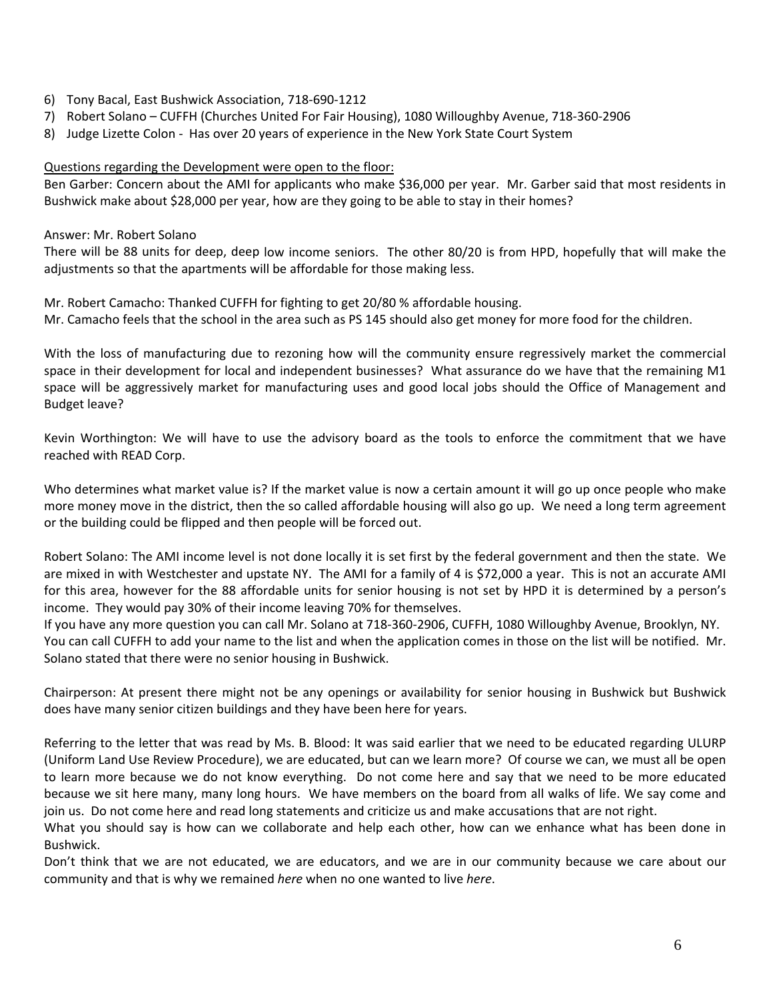- 6) Tony Bacal, East Bushwick Association, 718‐690‐1212
- 7) Robert Solano CUFFH (Churches United For Fair Housing), 1080 Willoughby Avenue, 718‐360‐2906
- 8) Judge Lizette Colon Has over 20 years of experience in the New York State Court System

#### Questions regarding the Development were open to the floor:

Ben Garber: Concern about the AMI for applicants who make \$36,000 per year. Mr. Garber said that most residents in Bushwick make about \$28,000 per year, how are they going to be able to stay in their homes?

#### Answer: Mr. Robert Solano

There will be 88 units for deep, deep low income seniors. The other 80/20 is from HPD, hopefully that will make the adjustments so that the apartments will be affordable for those making less.

Mr. Robert Camacho: Thanked CUFFH for fighting to get 20/80 % affordable housing. Mr. Camacho feels that the school in the area such as PS 145 should also get money for more food for the children.

With the loss of manufacturing due to rezoning how will the community ensure regressively market the commercial space in their development for local and independent businesses? What assurance do we have that the remaining M1 space will be aggressively market for manufacturing uses and good local jobs should the Office of Management and Budget leave?

Kevin Worthington: We will have to use the advisory board as the tools to enforce the commitment that we have reached with READ Corp.

Who determines what market value is? If the market value is now a certain amount it will go up once people who make more money move in the district, then the so called affordable housing will also go up. We need a long term agreement or the building could be flipped and then people will be forced out.

Robert Solano: The AMI income level is not done locally it is set first by the federal government and then the state. We are mixed in with Westchester and upstate NY. The AMI for a family of 4 is \$72,000 a year. This is not an accurate AMI for this area, however for the 88 affordable units for senior housing is not set by HPD it is determined by a person's income. They would pay 30% of their income leaving 70% for themselves.

If you have any more question you can call Mr. Solano at 718‐360‐2906, CUFFH, 1080 Willoughby Avenue, Brooklyn, NY. You can call CUFFH to add your name to the list and when the application comes in those on the list will be notified. Mr. Solano stated that there were no senior housing in Bushwick.

Chairperson: At present there might not be any openings or availability for senior housing in Bushwick but Bushwick does have many senior citizen buildings and they have been here for years.

Referring to the letter that was read by Ms. B. Blood: It was said earlier that we need to be educated regarding ULURP (Uniform Land Use Review Procedure), we are educated, but can we learn more? Of course we can, we must all be open to learn more because we do not know everything. Do not come here and say that we need to be more educated because we sit here many, many long hours. We have members on the board from all walks of life. We say come and join us. Do not come here and read long statements and criticize us and make accusations that are not right.

What you should say is how can we collaborate and help each other, how can we enhance what has been done in Bushwick.

Don't think that we are not educated, we are educators, and we are in our community because we care about our community and that is why we remained *here* when no one wanted to live *here*.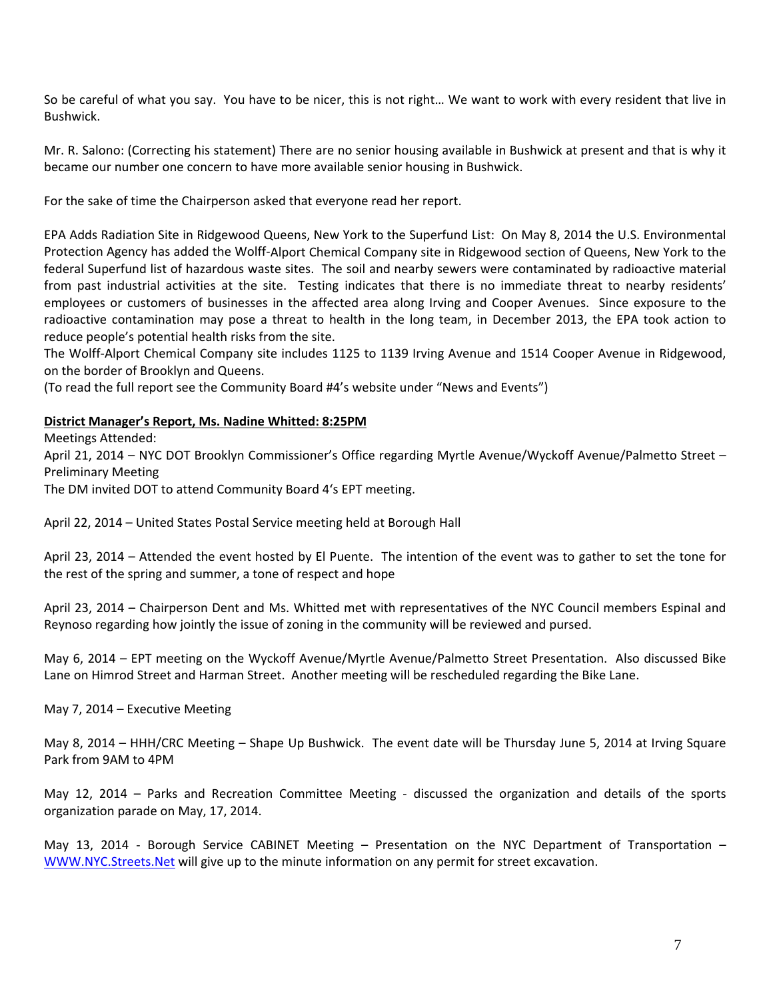So be careful of what you say. You have to be nicer, this is not right… We want to work with every resident that live in Bushwick.

Mr. R. Salono: (Correcting his statement) There are no senior housing available in Bushwick at present and that is why it became our number one concern to have more available senior housing in Bushwick.

For the sake of time the Chairperson asked that everyone read her report.

EPA Adds Radiation Site in Ridgewood Queens, New York to the Superfund List: On May 8, 2014 the U.S. Environmental Protection Agency has added the Wolff‐Alport Chemical Company site in Ridgewood section of Queens, New York to the federal Superfund list of hazardous waste sites. The soil and nearby sewers were contaminated by radioactive material from past industrial activities at the site. Testing indicates that there is no immediate threat to nearby residents' employees or customers of businesses in the affected area along Irving and Cooper Avenues. Since exposure to the radioactive contamination may pose a threat to health in the long team, in December 2013, the EPA took action to reduce people's potential health risks from the site.

The Wolff‐Alport Chemical Company site includes 1125 to 1139 Irving Avenue and 1514 Cooper Avenue in Ridgewood, on the border of Brooklyn and Queens.

(To read the full report see the Community Board #4's website under "News and Events")

#### **District Manager's Report, Ms. Nadine Whitted: 8:25PM**

Meetings Attended:

April 21, 2014 – NYC DOT Brooklyn Commissioner's Office regarding Myrtle Avenue/Wyckoff Avenue/Palmetto Street – Preliminary Meeting

The DM invited DOT to attend Community Board 4's EPT meeting.

April 22, 2014 – United States Postal Service meeting held at Borough Hall

April 23, 2014 – Attended the event hosted by El Puente. The intention of the event was to gather to set the tone for the rest of the spring and summer, a tone of respect and hope

April 23, 2014 – Chairperson Dent and Ms. Whitted met with representatives of the NYC Council members Espinal and Reynoso regarding how jointly the issue of zoning in the community will be reviewed and pursed.

May 6, 2014 – EPT meeting on the Wyckoff Avenue/Myrtle Avenue/Palmetto Street Presentation. Also discussed Bike Lane on Himrod Street and Harman Street. Another meeting will be rescheduled regarding the Bike Lane.

May 7, 2014 – Executive Meeting

May 8, 2014 – HHH/CRC Meeting – Shape Up Bushwick. The event date will be Thursday June 5, 2014 at Irving Square Park from 9AM to 4PM

May 12, 2014 – Parks and Recreation Committee Meeting - discussed the organization and details of the sports organization parade on May, 17, 2014.

May 13, 2014 - Borough Service CABINET Meeting - Presentation on the NYC Department of Transportation -WWW.NYC.Streets.Net will give up to the minute information on any permit for street excavation.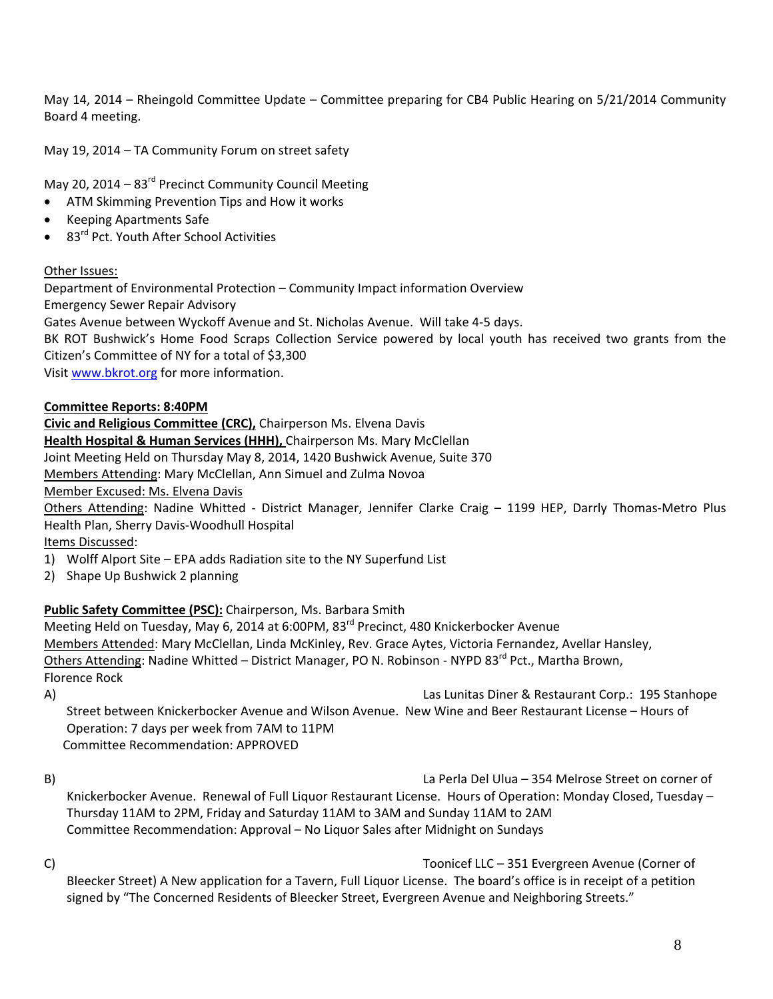May 14, 2014 – Rheingold Committee Update – Committee preparing for CB4 Public Hearing on 5/21/2014 Community Board 4 meeting.

May 19, 2014 – TA Community Forum on street safety

May 20, 2014 –  $83<sup>rd</sup>$  Precinct Community Council Meeting

- ATM Skimming Prevention Tips and How it works
- Keeping Apartments Safe
- 83rd Pct. Youth After School Activities

### Other Issues:

Department of Environmental Protection – Community Impact information Overview Emergency Sewer Repair Advisory

Gates Avenue between Wyckoff Avenue and St. Nicholas Avenue. Will take 4‐5 days.

BK ROT Bushwick's Home Food Scraps Collection Service powered by local youth has received two grants from the Citizen's Committee of NY for a total of \$3,300

Visit www.bkrot.org for more information.

### **Committee Reports: 8:40PM**

**Civic and Religious Committee (CRC),** Chairperson Ms. Elvena Davis

**Health Hospital & Human Services (HHH),** Chairperson Ms. Mary McClellan

Joint Meeting Held on Thursday May 8, 2014, 1420 Bushwick Avenue, Suite 370

Members Attending: Mary McClellan, Ann Simuel and Zulma Novoa

Member Excused: Ms. Elvena Davis

Others Attending: Nadine Whitted - District Manager, Jennifer Clarke Craig – 1199 HEP, Darrly Thomas-Metro Plus Health Plan, Sherry Davis‐Woodhull Hospital

Items Discussed:

- 1) Wolff Alport Site EPA adds Radiation site to the NY Superfund List
- 2) Shape Up Bushwick 2 planning

## **Public Safety Committee (PSC):** Chairperson, Ms. Barbara Smith

Meeting Held on Tuesday, May 6, 2014 at 6:00PM, 83<sup>rd</sup> Precinct, 480 Knickerbocker Avenue Members Attended: Mary McClellan, Linda McKinley, Rev. Grace Aytes, Victoria Fernandez, Avellar Hansley, Others Attending: Nadine Whitted – District Manager, PO N. Robinson - NYPD 83<sup>rd</sup> Pct., Martha Brown, Florence Rock

A) Las Lunitas Diner & Restaurant Corp.: 195 Stanhope Street between Knickerbocker Avenue and Wilson Avenue. New Wine and Beer Restaurant License – Hours of Operation: 7 days per week from 7AM to 11PM Committee Recommendation: APPROVED

- B) La Perla Del Ulua 354 Melrose Street on corner of Knickerbocker Avenue. Renewal of Full Liquor Restaurant License. Hours of Operation: Monday Closed, Tuesday – Thursday 11AM to 2PM, Friday and Saturday 11AM to 3AM and Sunday 11AM to 2AM Committee Recommendation: Approval – No Liquor Sales after Midnight on Sundays
- 

C) Toonicef LLC – 351 Evergreen Avenue (Corner of Bleecker Street) A New application for a Tavern, Full Liquor License. The board's office is in receipt of a petition signed by "The Concerned Residents of Bleecker Street, Evergreen Avenue and Neighboring Streets."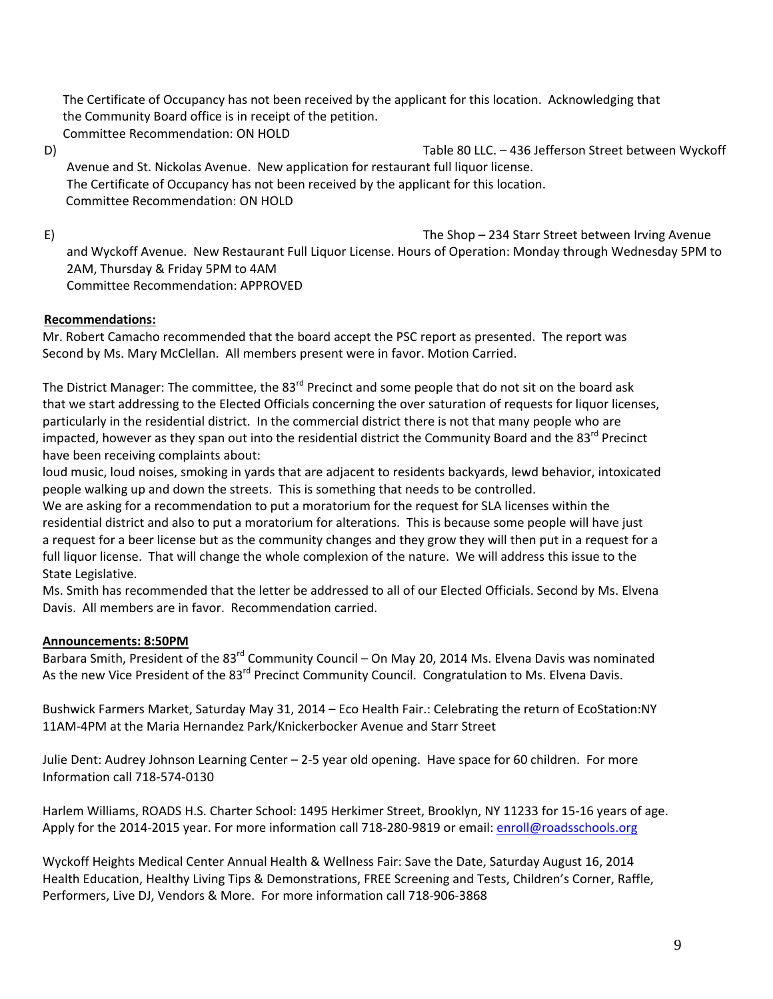The Certificate of Occupancy has not been received by the applicant for this location. Acknowledging that the Community Board office is in receipt of the petition. Committee Recommendation: ON HOLD

D) Table 80 LLC. – 436 Jefferson Street between Wyckoff Avenue and St. Nickolas Avenue. New application for restaurant full liquor license. The Certificate of Occupancy has not been received by the applicant for this location. Committee Recommendation: ON HOLD

E) The Shop – 234 Starr Street between Irving Avenue and Wyckoff Avenue. New Restaurant Full Liquor License. Hours of Operation: Monday through Wednesday 5PM to 2AM, Thursday & Friday 5PM to 4AM Committee Recommendation: APPROVED

# **Recommendations:**

 Mr. Robert Camacho recommended that the board accept the PSC report as presented. The report was Second by Ms. Mary McClellan. All members present were in favor. Motion Carried.

The District Manager: The committee, the 83<sup>rd</sup> Precinct and some people that do not sit on the board ask that we start addressing to the Elected Officials concerning the over saturation of requests for liquor licenses, particularly in the residential district. In the commercial district there is not that many people who are impacted, however as they span out into the residential district the Community Board and the 83<sup>rd</sup> Precinct have been receiving complaints about:

 loud music, loud noises, smoking in yards that are adjacent to residents backyards, lewd behavior, intoxicated people walking up and down the streets. This is something that needs to be controlled.

 We are asking for a recommendation to put a moratorium for the request for SLA licenses within the residential district and also to put a moratorium for alterations. This is because some people will have just a request for a beer license but as the community changes and they grow they will then put in a request for a full liquor license. That will change the whole complexion of the nature. We will address this issue to the State Legislative.

 Ms. Smith has recommended that the letter be addressed to all of our Elected Officials. Second by Ms. Elvena Davis. All members are in favor. Recommendation carried.

## **Announcements: 8:50PM**

Barbara Smith, President of the 83<sup>rd</sup> Community Council – On May 20, 2014 Ms. Elvena Davis was nominated As the new Vice President of the 83<sup>rd</sup> Precinct Community Council. Congratulation to Ms. Elvena Davis.

 Bushwick Farmers Market, Saturday May 31, 2014 – Eco Health Fair.: Celebrating the return of EcoStation:NY 11AM‐4PM at the Maria Hernandez Park/Knickerbocker Avenue and Starr Street

 Julie Dent: Audrey Johnson Learning Center – 2‐5 year old opening. Have space for 60 children. For more Information call 718‐574‐0130

 Harlem Williams, ROADS H.S. Charter School: 1495 Herkimer Street, Brooklyn, NY 11233 for 15‐16 years of age. Apply for the 2014-2015 year. For more information call 718-280-9819 or email: enroll@roadsschools.org

 Wyckoff Heights Medical Center Annual Health & Wellness Fair: Save the Date, Saturday August 16, 2014 Health Education, Healthy Living Tips & Demonstrations, FREE Screening and Tests, Children's Corner, Raffle, Performers, Live DJ, Vendors & More. For more information call 718‐906‐3868